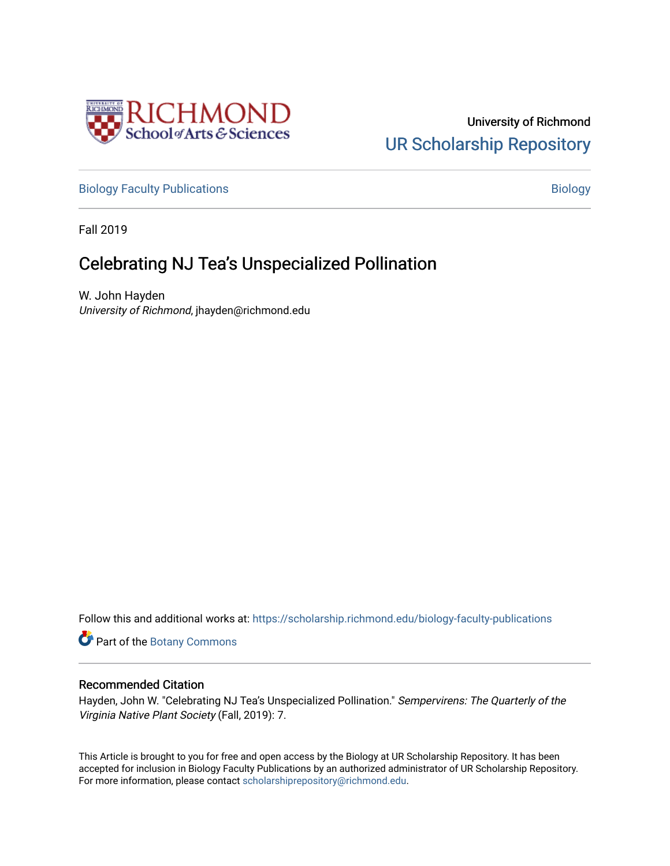

University of Richmond [UR Scholarship Repository](https://scholarship.richmond.edu/) 

[Biology Faculty Publications](https://scholarship.richmond.edu/biology-faculty-publications) and the state of the state of the [Biology](https://scholarship.richmond.edu/biology) Biology

Fall 2019

## **Celebrating NJ Tea's Unspecialized Pollination**

W. John Hayden University of Richmond, jhayden@richmond.edu

Follow this and additional works at: [https://scholarship.richmond.edu/biology-faculty-publications](https://scholarship.richmond.edu/biology-faculty-publications?utm_source=scholarship.richmond.edu%2Fbiology-faculty-publications%2F210&utm_medium=PDF&utm_campaign=PDFCoverPages) 

Part of the [Botany Commons](http://network.bepress.com/hgg/discipline/104?utm_source=scholarship.richmond.edu%2Fbiology-faculty-publications%2F210&utm_medium=PDF&utm_campaign=PDFCoverPages) 

## Recommended Citation

Hayden, John W. "Celebrating NJ Tea's Unspecialized Pollination." Sempervirens: The Quarterly of the Virginia Native Plant Society (Fall, 2019): 7.

This Article is brought to you for free and open access by the Biology at UR Scholarship Repository. It has been accepted for inclusion in Biology Faculty Publications by an authorized administrator of UR Scholarship Repository. For more information, please contact [scholarshiprepository@richmond.edu](mailto:scholarshiprepository@richmond.edu).